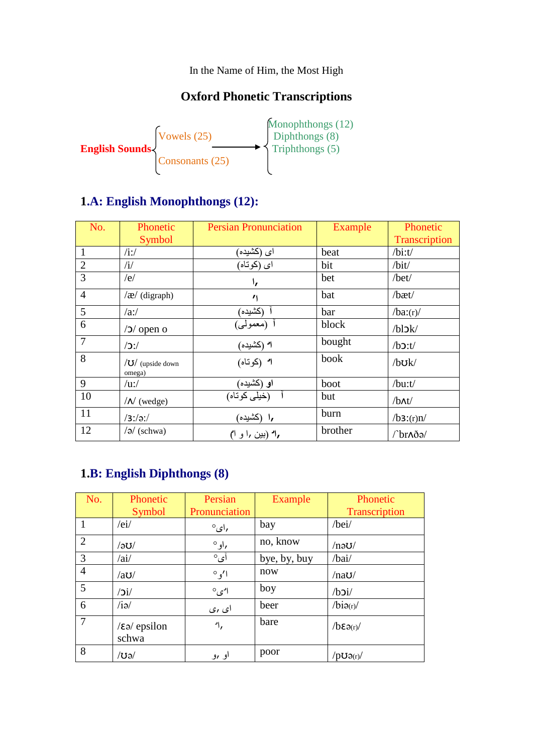In the Name of Him, the Most High

## **Oxford Phonetic Transcriptions**



## **1.A: English Monophthongs (12):**

| No.            | Phonetic                          | <b>Persian Pronunciation</b> | <b>Example</b> | Phonetic          |
|----------------|-----------------------------------|------------------------------|----------------|-------------------|
|                | Symbol                            |                              |                | Transcription     |
|                | $/$ i:/                           | ای (کشیده)                   | beat           | $/b$ i:t/         |
| $\overline{2}$ | $\mathbf{H}$                      | اي (كوتاه)                   | bit            | /bit/             |
| 3              | /e/                               | ۱,                           | bet            | /bet/             |
| $\overline{4}$ | $\alpha$ (digraph)                | $^{\prime}$                  | bat            | /bæt/             |
| 5              | /ai/                              | (کشیده)                      | bar            | /ba:(r)           |
| 6              | $/2/$ open o                      | أ (معمولي)                   | block          | $/b$ l $dk$       |
| $\overline{7}$ | $/$ $\mathcal{L}'$                | ا" (كشيده)                   | bought         | $/b$ $2:t/$       |
| 8              | $\sqrt{U}$ (upside down<br>omega) | ا (كوناه)                    | book           | $/b$ U $k/$       |
| 9              | $\overline{u}$ :/                 | او (کشیده)                   | boot           | /bu:t/            |
| 10             | $/N$ (wedge)                      | (خیلی کوتاه)                 | but            | $/b$ $\Lambda t/$ |
| 11             | $/3$ :/əː/                        | ۱٫ (کشیده)                   | burn           | /b3:(r)n/         |
| 12             | $\sqrt{a}$ (schwa)                | ۱٫ (بین ۱٫ و ۱)              | brother        | /br^də/           |

#### **1.B: English Diphthongs (8)**

| No.            | Phonetic<br><b>Symbol</b>             | Persian<br>Pronunciation | Example      | Phonetic<br>Transcription |
|----------------|---------------------------------------|--------------------------|--------------|---------------------------|
|                | /ei/                                  | $^{\circ}$ ای $^{\circ}$ | bay          | /bei/                     |
| $\overline{2}$ | /၁ပ/                                  | ,او°                     | no, know     | $/$ nə $U/$               |
| 3              | /ai/                                  | آی°                      | bye, by, buy | /bai/                     |
| $\overline{4}$ | /au/                                  | $^{\circ}$ $^{\prime}$   | now          | /naU/                     |
| 5              | $\overline{\mathbf{C}}$               | $^{\circ}$ امی           | boy          | $/b$ $2i/$                |
| 6              | $\overline{\mathsf{A}}$               | ای ری                    | beer         | /bio(r)/                  |
| $\overline{7}$ | $\sqrt{\epsilon}$ ə/ epsilon<br>schwa | ۰۱,                      | bare         | $\sqrt{b\epsilon}a(r)$    |
| 8              | /ʊə/                                  | او رو                    | poor         | $/$ pU $\partial(r)/$     |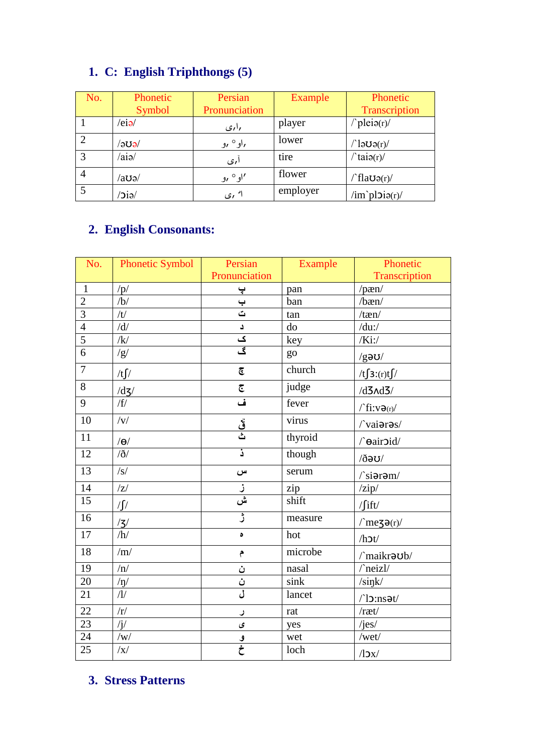# **1. C: English Triphthongs (5)**

| No. | Phonetic                 | Persian           | Example  | Phonetic                              |
|-----|--------------------------|-------------------|----------|---------------------------------------|
|     | Symbol                   | Pronunciation     |          | Transcription                         |
|     | $/e$ iə $/$              | راری              | player   | $\text{P}\text{peio}(r)$              |
| 2   | $\sim$ aue $\prime$      | ,او° ,و           | lower    | $\ln 1$ ါခ $\sigma$ ၁ $\sigma$        |
| 3   | $\alpha$ ia/             | ا ری              | tire     | $\ln(\text{taio}(r))$                 |
| 4   | ⁄aʊə⁄                    | 'او° ,و           | flower   | $\int f \, \text{law}(r)$             |
| 5   | $\overline{\text{e}}$ ie | ا <sup>د</sup> ری | employer | $\lim \n\infty$ pl $\mathfrak{g}(r)/$ |

# **2. English Consonants:**

| No.             | <b>Phonetic Symbol</b>  | Persian                 | Example | Phonetic                                                           |  |  |
|-----------------|-------------------------|-------------------------|---------|--------------------------------------------------------------------|--|--|
|                 |                         | Pronunciation           |         | Transcription                                                      |  |  |
| $\mathbf{1}$    | /p/                     | $\ddot{\mathbf{r}}$     | pan     | $/$ pæn $/$                                                        |  |  |
| $\overline{2}$  | $\overline{b}$          | $\frac{1}{5}$           | ban     | $/$ bæn $/$                                                        |  |  |
| $\overline{3}$  | $\overline{t}$          |                         | tan     | $/$ tæn $/$                                                        |  |  |
| $\overline{4}$  | $\overline{d}$          | د                       | do      | $/du$ :/                                                           |  |  |
| $\overline{5}$  | $\overline{\mathbf{k}}$ | ک                       | key     | $/Ki$ :/                                                           |  |  |
| $\overline{6}$  | /g/                     | گ                       | go      | $/g$ əʊ/                                                           |  |  |
| $\overline{7}$  | /t $\int$               | $\overline{\mathbb{G}}$ | church  | $/t \int 3:(r)t \int$                                              |  |  |
| $\overline{8}$  | /dz/                    | $\overline{\mathbb{C}}$ | judge   | $/d3\Lambda d3/$                                                   |  |  |
| $\overline{9}$  | /f/                     | أما                     | fever   | $\big/ \operatorname{fi}{:} v \mathop{\mathsf{d}}\nolimits_{(r)}/$ |  |  |
| 10              | $\overline{y}$          | <u>قُ</u><br>ث          | virus   | /vaiaras/                                                          |  |  |
| $11\,$          | $/\Theta$               |                         | thyroid | /dairoid/                                                          |  |  |
| 12              | $\delta/$               | ذ.                      | though  | $\lambda$ oe $\delta\lambda$                                       |  |  |
| 13              | $\sqrt{s/}$             | س                       | serum   | $\sqrt{\text{sipram}}$                                             |  |  |
| 14              | Z                       |                         | zip     | $\frac{z}{i}$                                                      |  |  |
| 15              | $\sqrt{2}$              | .<br>ش                  | shift   | $\int$ ift/                                                        |  |  |
| $\overline{16}$ | $\frac{7}{3}$           | ڑ                       | measure | $\text{/}$ mezə $\text{er}\text{/}$                                |  |  |
| $\overline{17}$ |                         | ە                       | hot     | /h                                                                 |  |  |
| 18              | /m/                     | م                       | microbe | /maikraub/                                                         |  |  |
| $\overline{19}$ | $\sqrt{n/2}$            | ن                       | nasal   | /neizl/                                                            |  |  |
| 20              | $/ \eta /$              | ن<br>ن                  | sink    | /sink/                                                             |  |  |
| 21              | $\overline{1}$          |                         | lancet  | $\bigcap \mathsf{loss}$                                            |  |  |
| 22              | /r/                     | ر                       | rat     | /ræt/                                                              |  |  |
| 23              | $\sqrt{j}$              | ى                       | yes     | /jes/                                                              |  |  |
| $\overline{24}$ | $/{\mathrm w}/$         | $\frac{9}{5}$           | wet     | /wet/                                                              |  |  |
| $\overline{25}$ | $\sqrt{x}$              |                         | loch    | $\sqrt{2}x$                                                        |  |  |

## **3. Stress Patterns**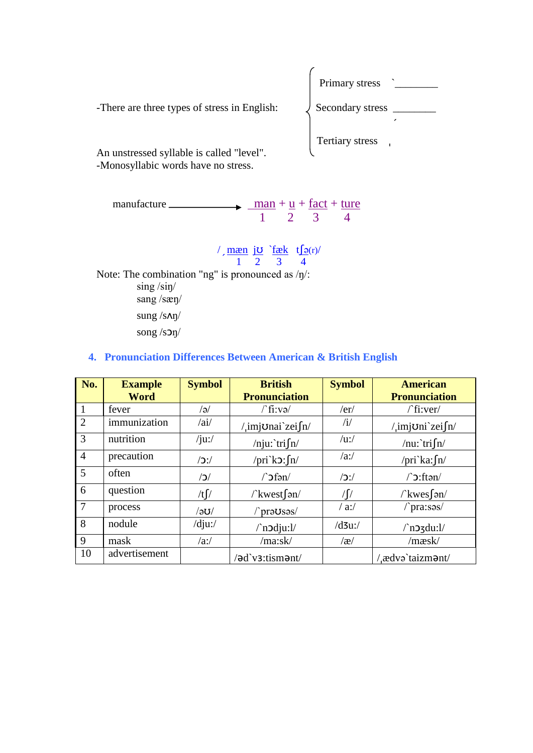

| manufacture. |  | $man + u + fact + ture$ |
|--------------|--|-------------------------|
|              |  |                         |

 $\frac{m \times n}{m \times n}$  jo `fæk tserv 1 2 3 4 Note: The combination "ng" is pronounced as /ŋ/: sing /siŋ/ sang /sæŋ/ sung /sʌŋ/ song /sɔŋ/

#### **4. Pronunciation Differences Between American & British English**

| No.            | <b>Example</b><br><b>Word</b> | <b>Symbol</b>      | <b>British</b><br><b>Pronunciation</b> | <b>Symbol</b> | <b>American</b><br><b>Pronunciation</b> |
|----------------|-------------------------------|--------------------|----------------------------------------|---------------|-----------------------------------------|
| $\mathbf{1}$   | fever                         | /ə/                | $\int$ fi:və $\int$                    | /er/          | $/$ fi:ver/                             |
| $\overline{2}$ | immunization                  | /ai/               | /imjonai zeifn/                        | $\mathbf{u}$  | /imjoni zei $\int$ n/                   |
| 3              | nutrition                     | $/ju$ :/           | /nju: tri $\int$ n/                    | $/u$ :/       | /nu: tri $\int$ n/                      |
| $\overline{4}$ | precaution                    | $/$ $\mathcal{L}'$ | /pri\colourly/prink 2.5 \text{ln} /    | $\alpha$ :/   | /pri ka: $\int$ n/                      |
| 5              | often                         | $\sqrt{C}$         | $\int$ of $\sin \theta$                | /             | $\int$ :ftən/                           |
| 6              | question                      | /t $\int$          | $\land$ kwest $\lceil$ ən/             | / $\lceil$    | $\wedge$ kwes san/                      |
| $\overline{7}$ | process                       | $\sqrt{2}$         | /`praUsas/                             | $/$ a:/       | /pra:səs/                               |
| 8              | nodule                        | $/dju$ :/          | $\land$ n $\delta$ dju:l/              | $/d3u$ :/     | $\ln 2$ zdu: $1/$                       |
| 9              | mask                          | /ai/               | /ma:sk/                                | $\alpha$      | /mæsk/                                  |
| 10             | advertisement                 |                    | /əd`v3:tismənt/                        |               | / ædvə taizm <b>ə</b> nt/               |